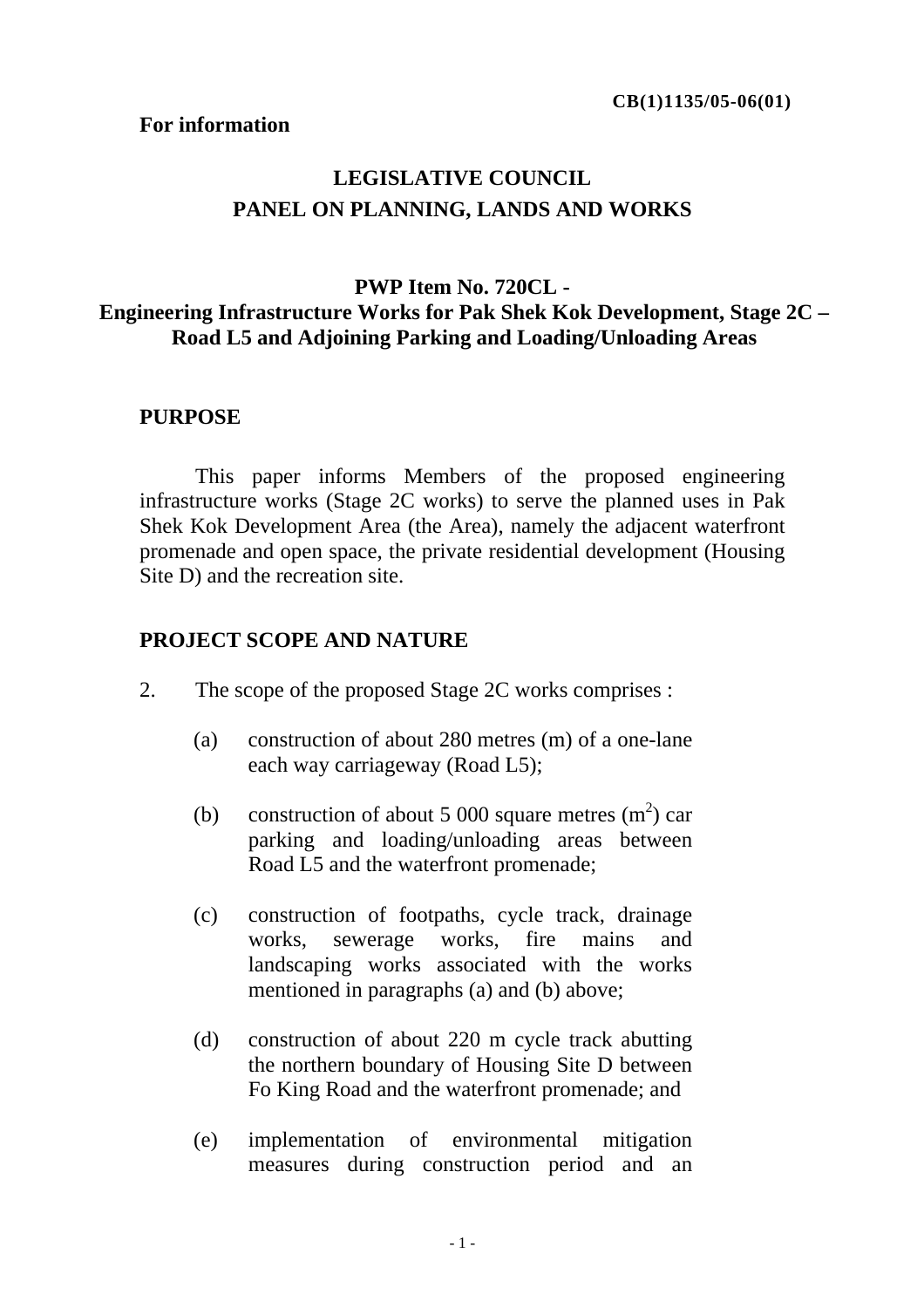#### **For information**

# **LEGISLATIVE COUNCIL PANEL ON PLANNING, LANDS AND WORKS**

### **PWP Item No. 720CL - Engineering Infrastructure Works for Pak Shek Kok Development, Stage 2C – Road L5 and Adjoining Parking and Loading/Unloading Areas**

#### **PURPOSE**

This paper informs Members of the proposed engineering infrastructure works (Stage 2C works) to serve the planned uses in Pak Shek Kok Development Area (the Area), namely the adjacent waterfront promenade and open space, the private residential development (Housing Site D) and the recreation site.

#### **PROJECT SCOPE AND NATURE**

- 2. The scope of the proposed Stage 2C works comprises :
	- (a) construction of about 280 metres (m) of a one-lane each way carriageway (Road L5);
	- (b) construction of about 5 000 square metres  $(m^2)$  car parking and loading/unloading areas between Road L5 and the waterfront promenade;
	- (c) construction of footpaths, cycle track, drainage works, sewerage works, fire mains and landscaping works associated with the works mentioned in paragraphs (a) and (b) above;
	- (d) construction of about 220 m cycle track abutting the northern boundary of Housing Site D between Fo King Road and the waterfront promenade; and
	- (e) implementation of environmental mitigation measures during construction period and an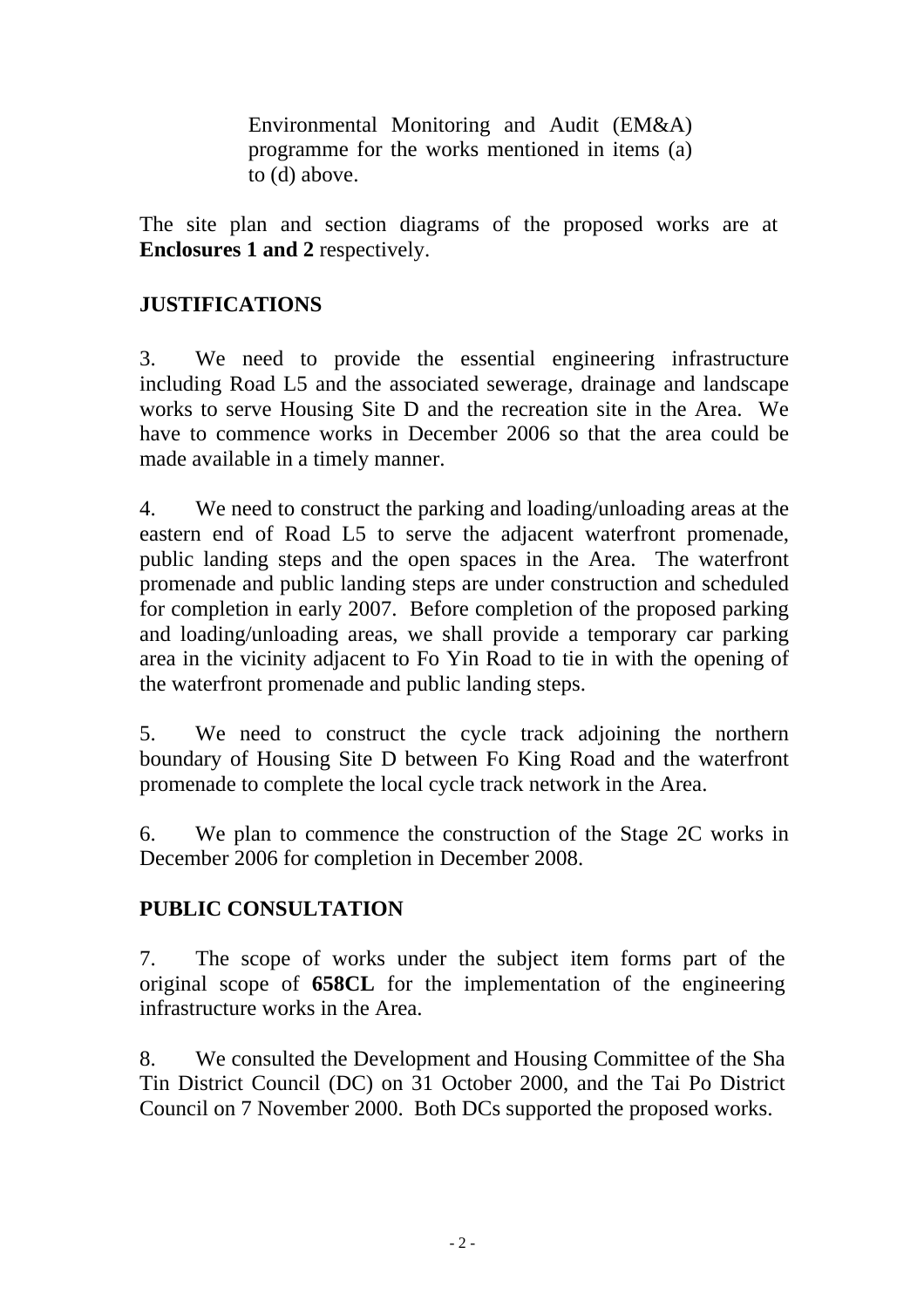Environmental Monitoring and Audit (EM&A) programme for the works mentioned in items (a) to (d) above.

The site plan and section diagrams of the proposed works are at **Enclosures 1 and 2** respectively.

# **JUSTIFICATIONS**

3. We need to provide the essential engineering infrastructure including Road L5 and the associated sewerage, drainage and landscape works to serve Housing Site D and the recreation site in the Area. We have to commence works in December 2006 so that the area could be made available in a timely manner.

4. We need to construct the parking and loading/unloading areas at the eastern end of Road L5 to serve the adjacent waterfront promenade, public landing steps and the open spaces in the Area. The waterfront promenade and public landing steps are under construction and scheduled for completion in early 2007. Before completion of the proposed parking and loading/unloading areas, we shall provide a temporary car parking area in the vicinity adjacent to Fo Yin Road to tie in with the opening of the waterfront promenade and public landing steps.

5. We need to construct the cycle track adjoining the northern boundary of Housing Site D between Fo King Road and the waterfront promenade to complete the local cycle track network in the Area.

6. We plan to commence the construction of the Stage 2C works in December 2006 for completion in December 2008.

# **PUBLIC CONSULTATION**

7. The scope of works under the subject item forms part of the original scope of **658CL** for the implementation of the engineering infrastructure works in the Area.

8. We consulted the Development and Housing Committee of the Sha Tin District Council (DC) on 31 October 2000, and the Tai Po District Council on 7 November 2000. Both DCs supported the proposed works.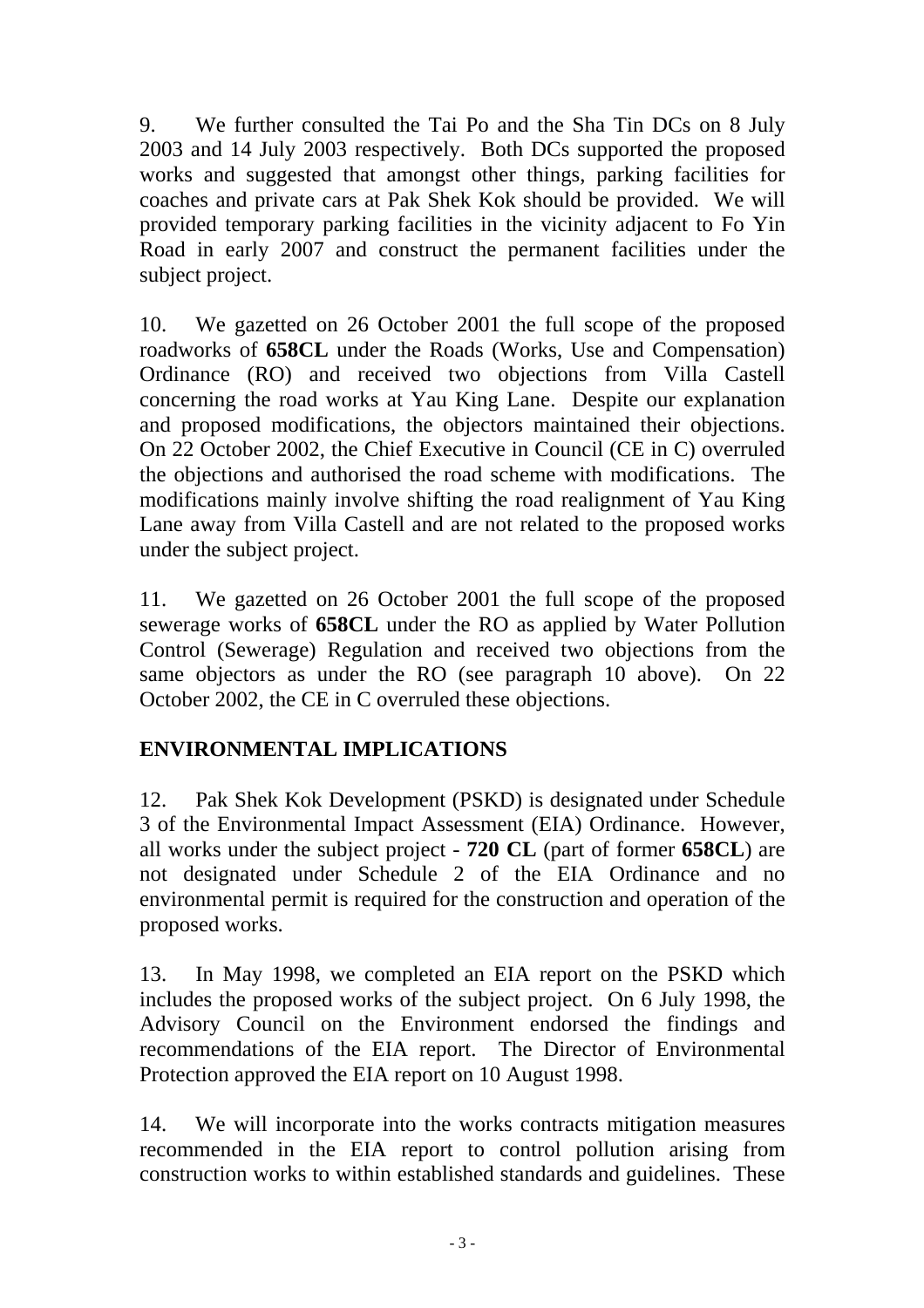9. We further consulted the Tai Po and the Sha Tin DCs on 8 July 2003 and 14 July 2003 respectively. Both DCs supported the proposed works and suggested that amongst other things, parking facilities for coaches and private cars at Pak Shek Kok should be provided. We will provided temporary parking facilities in the vicinity adjacent to Fo Yin Road in early 2007 and construct the permanent facilities under the subject project.

10. We gazetted on 26 October 2001 the full scope of the proposed roadworks of **658CL** under the Roads (Works, Use and Compensation) Ordinance (RO) and received two objections from Villa Castell concerning the road works at Yau King Lane. Despite our explanation and proposed modifications, the objectors maintained their objections. On 22 October 2002, the Chief Executive in Council (CE in C) overruled the objections and authorised the road scheme with modifications. The modifications mainly involve shifting the road realignment of Yau King Lane away from Villa Castell and are not related to the proposed works under the subject project.

11. We gazetted on 26 October 2001 the full scope of the proposed sewerage works of **658CL** under the RO as applied by Water Pollution Control (Sewerage) Regulation and received two objections from the same objectors as under the RO (see paragraph 10 above). On 22 October 2002, the CE in C overruled these objections.

# **ENVIRONMENTAL IMPLICATIONS**

12. Pak Shek Kok Development (PSKD) is designated under Schedule 3 of the Environmental Impact Assessment (EIA) Ordinance. However, all works under the subject project - **720 CL** (part of former **658CL**) are not designated under Schedule 2 of the EIA Ordinance and no environmental permit is required for the construction and operation of the proposed works.

13. In May 1998, we completed an EIA report on the PSKD which includes the proposed works of the subject project. On 6 July 1998, the Advisory Council on the Environment endorsed the findings and recommendations of the EIA report. The Director of Environmental Protection approved the EIA report on 10 August 1998.

14. We will incorporate into the works contracts mitigation measures recommended in the EIA report to control pollution arising from construction works to within established standards and guidelines. These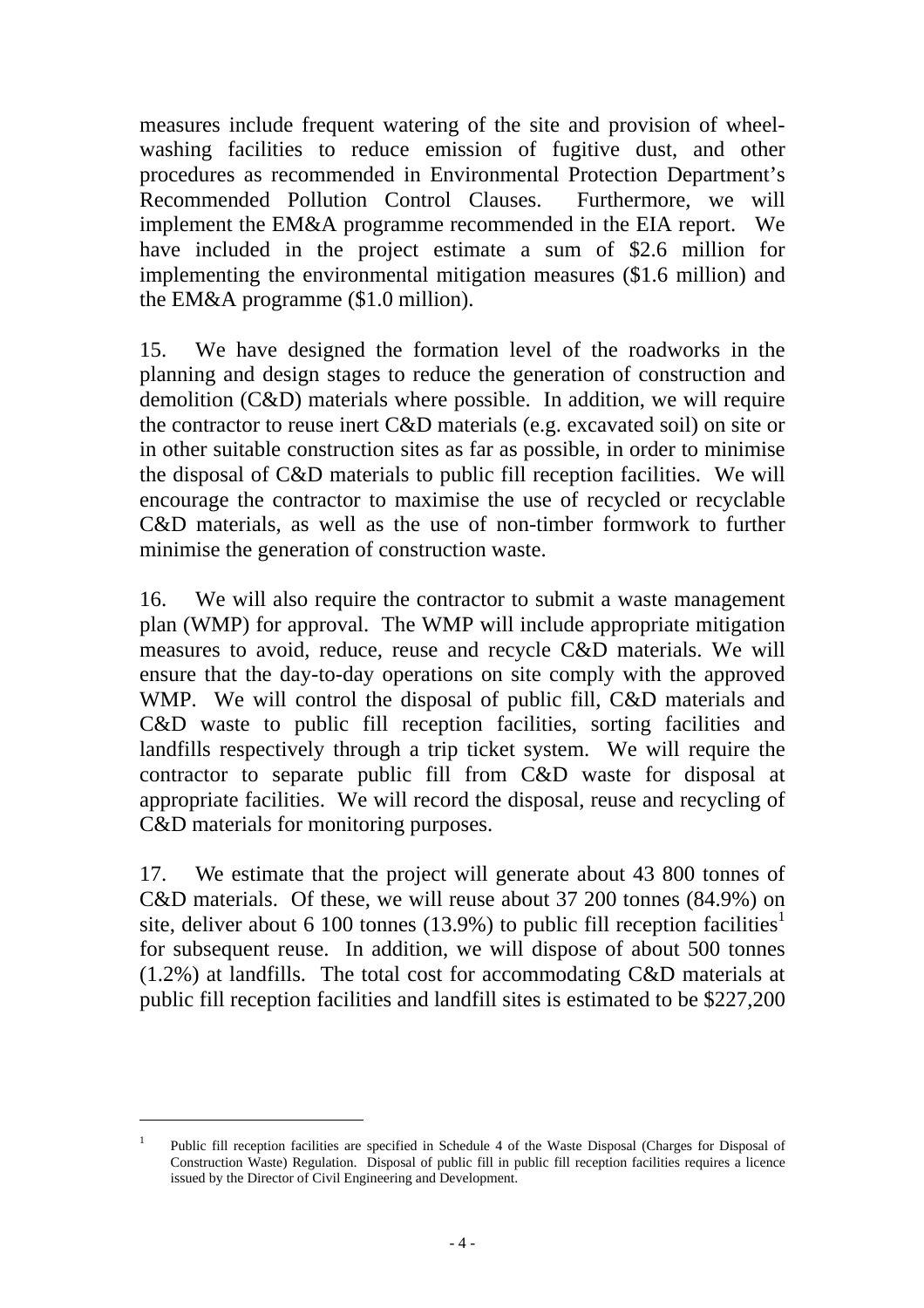measures include frequent watering of the site and provision of wheelwashing facilities to reduce emission of fugitive dust, and other procedures as recommended in Environmental Protection Department's Recommended Pollution Control Clauses. Furthermore, we will implement the EM&A programme recommended in the EIA report. We have included in the project estimate a sum of \$2.6 million for implementing the environmental mitigation measures (\$1.6 million) and the EM&A programme (\$1.0 million).

15. We have designed the formation level of the roadworks in the planning and design stages to reduce the generation of construction and demolition (C&D) materials where possible. In addition, we will require the contractor to reuse inert C&D materials (e.g. excavated soil) on site or in other suitable construction sites as far as possible, in order to minimise the disposal of C&D materials to public fill reception facilities. We will encourage the contractor to maximise the use of recycled or recyclable C&D materials, as well as the use of non-timber formwork to further minimise the generation of construction waste.

16. We will also require the contractor to submit a waste management plan (WMP) for approval. The WMP will include appropriate mitigation measures to avoid, reduce, reuse and recycle C&D materials. We will ensure that the day-to-day operations on site comply with the approved WMP. We will control the disposal of public fill, C&D materials and C&D waste to public fill reception facilities, sorting facilities and landfills respectively through a trip ticket system. We will require the contractor to separate public fill from C&D waste for disposal at appropriate facilities. We will record the disposal, reuse and recycling of C&D materials for monitoring purposes.

17. We estimate that the project will generate about 43 800 tonnes of C&D materials. Of these, we will reuse about 37 200 tonnes (84.9%) on site, deliver about 6 100 tonnes (13.9%) to public fill reception facilities<sup>1</sup> for subsequent reuse. In addition, we will dispose of about 500 tonnes (1.2%) at landfills. The total cost for accommodating C&D materials at public fill reception facilities and landfill sites is estimated to be \$227,200

l

<sup>&</sup>lt;sup>1</sup> Public fill reception facilities are specified in Schedule 4 of the Waste Disposal (Charges for Disposal of Construction Waste) Regulation. Disposal of public fill in public fill reception facilities requires a licence issued by the Director of Civil Engineering and Development.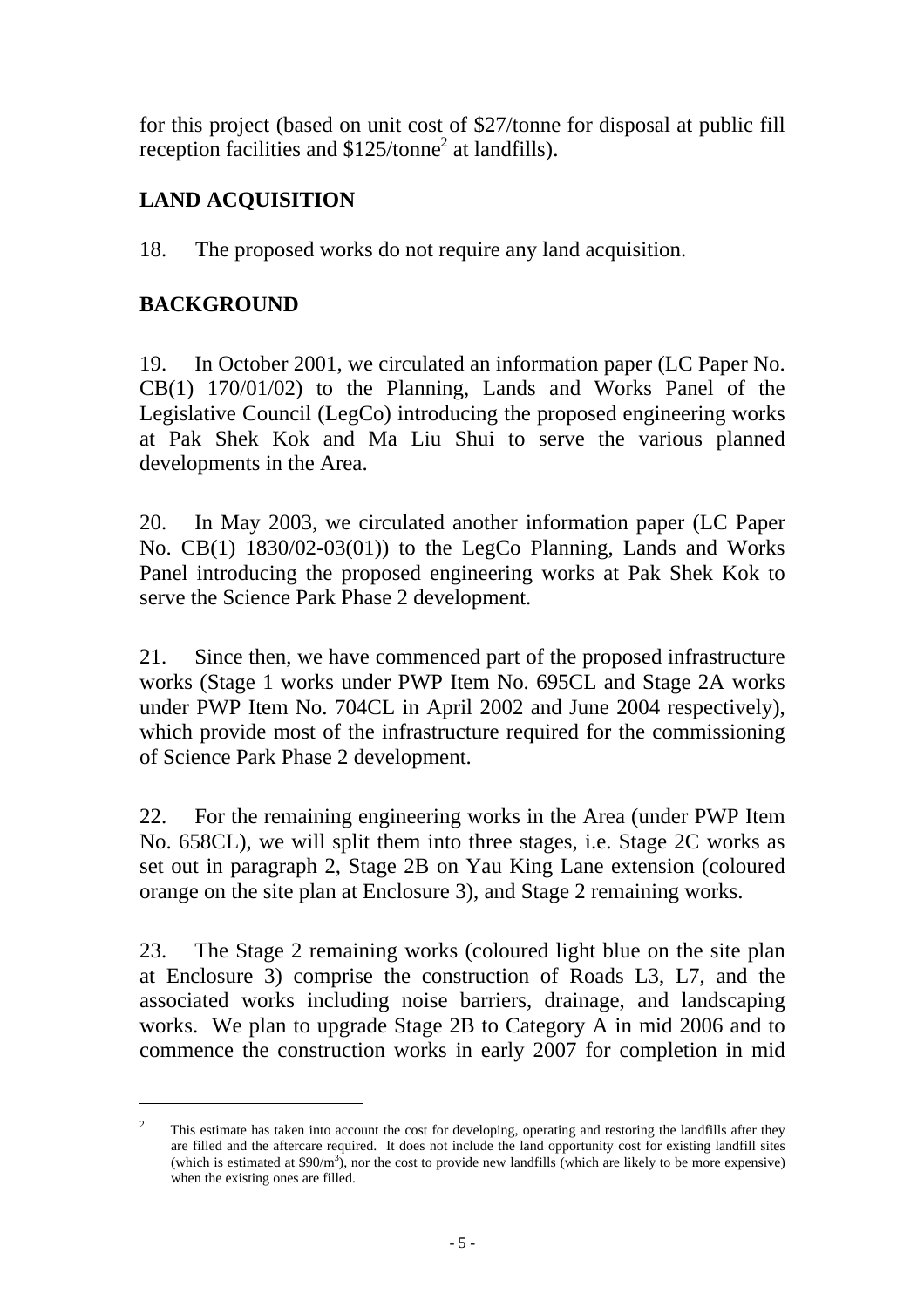for this project (based on unit cost of \$27/tonne for disposal at public fill reception facilities and  $$125/tonne<sup>2</sup>$  at landfills).

# **LAND ACQUISITION**

18. The proposed works do not require any land acquisition.

# **BACKGROUND**

l

19. In October 2001, we circulated an information paper (LC Paper No. CB(1) 170/01/02) to the Planning, Lands and Works Panel of the Legislative Council (LegCo) introducing the proposed engineering works at Pak Shek Kok and Ma Liu Shui to serve the various planned developments in the Area.

20. In May 2003, we circulated another information paper (LC Paper No. CB(1) 1830/02-03(01)) to the LegCo Planning, Lands and Works Panel introducing the proposed engineering works at Pak Shek Kok to serve the Science Park Phase 2 development.

21. Since then, we have commenced part of the proposed infrastructure works (Stage 1 works under PWP Item No. 695CL and Stage 2A works under PWP Item No. 704CL in April 2002 and June 2004 respectively), which provide most of the infrastructure required for the commissioning of Science Park Phase 2 development.

22. For the remaining engineering works in the Area (under PWP Item No. 658CL), we will split them into three stages, i.e. Stage 2C works as set out in paragraph 2, Stage 2B on Yau King Lane extension (coloured orange on the site plan at Enclosure 3), and Stage 2 remaining works.

23. The Stage 2 remaining works (coloured light blue on the site plan at Enclosure 3) comprise the construction of Roads L3, L7, and the associated works including noise barriers, drainage, and landscaping works. We plan to upgrade Stage 2B to Category A in mid 2006 and to commence the construction works in early 2007 for completion in mid

<sup>2</sup> This estimate has taken into account the cost for developing, operating and restoring the landfills after they are filled and the aftercare required. It does not include the land opportunity cost for existing landfill sites (which is estimated at  $$90/m^3$ ), nor the cost to provide new landfills (which are likely to be more expensive) when the existing ones are filled.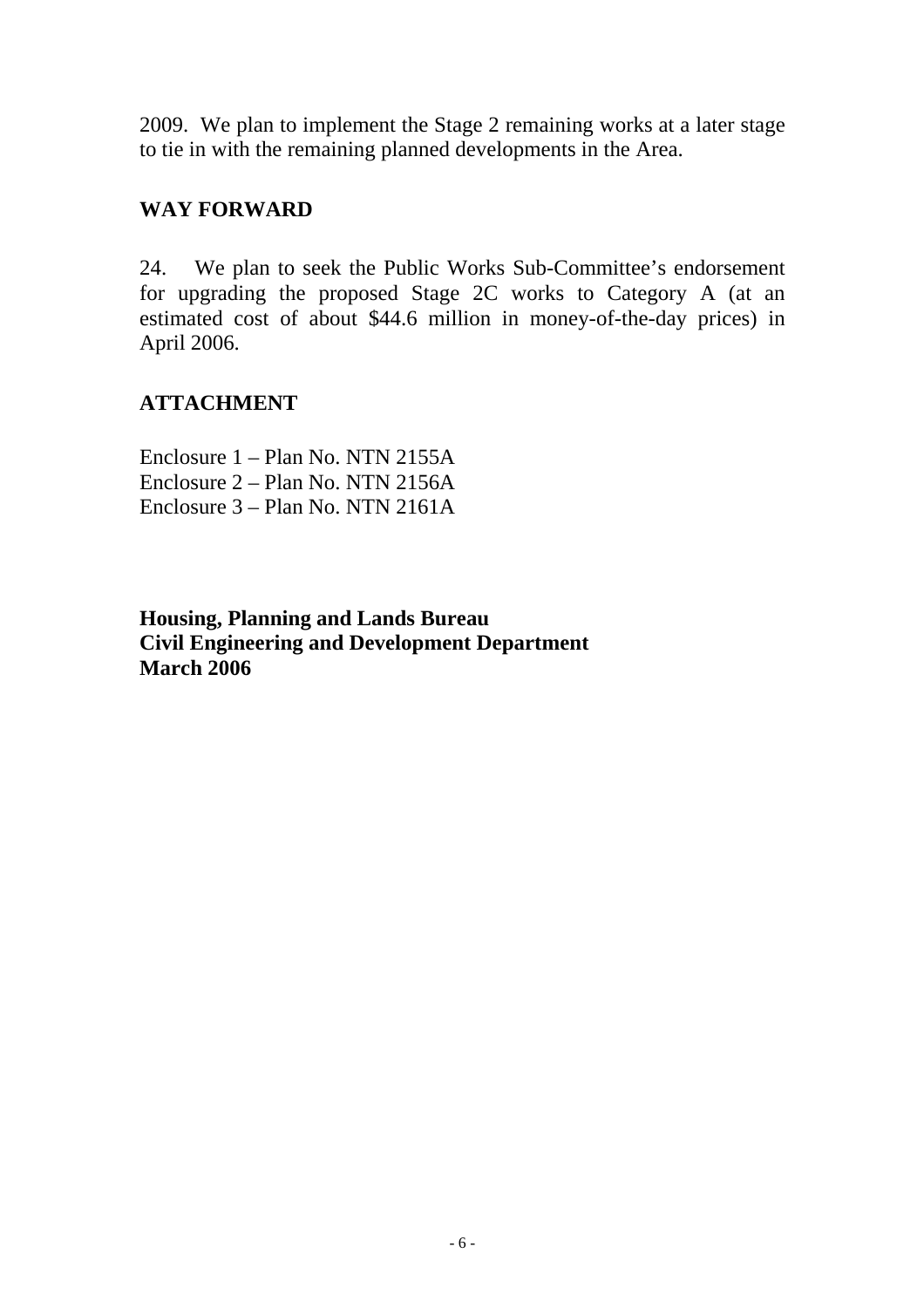2009. We plan to implement the Stage 2 remaining works at a later stage to tie in with the remaining planned developments in the Area.

## **WAY FORWARD**

24. We plan to seek the Public Works Sub-Committee's endorsement for upgrading the proposed Stage 2C works to Category A (at an estimated cost of about \$44.6 million in money-of-the-day prices) in April 2006.

# **ATTACHMENT**

Enclosure 1 – Plan No. NTN 2155A Enclosure 2 – Plan No. NTN 2156A Enclosure 3 – Plan No. NTN 2161A

**Housing, Planning and Lands Bureau Civil Engineering and Development Department March 2006**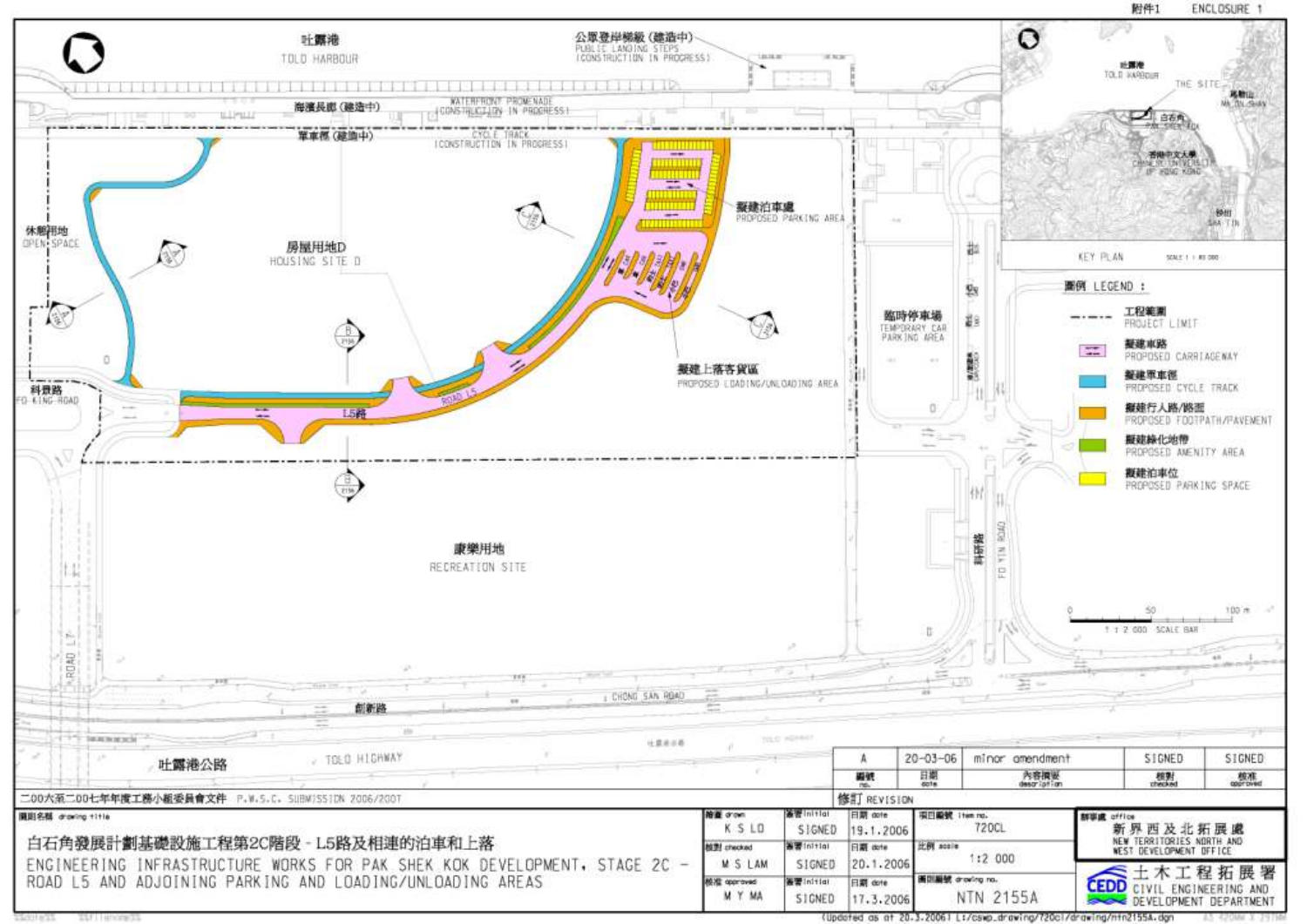

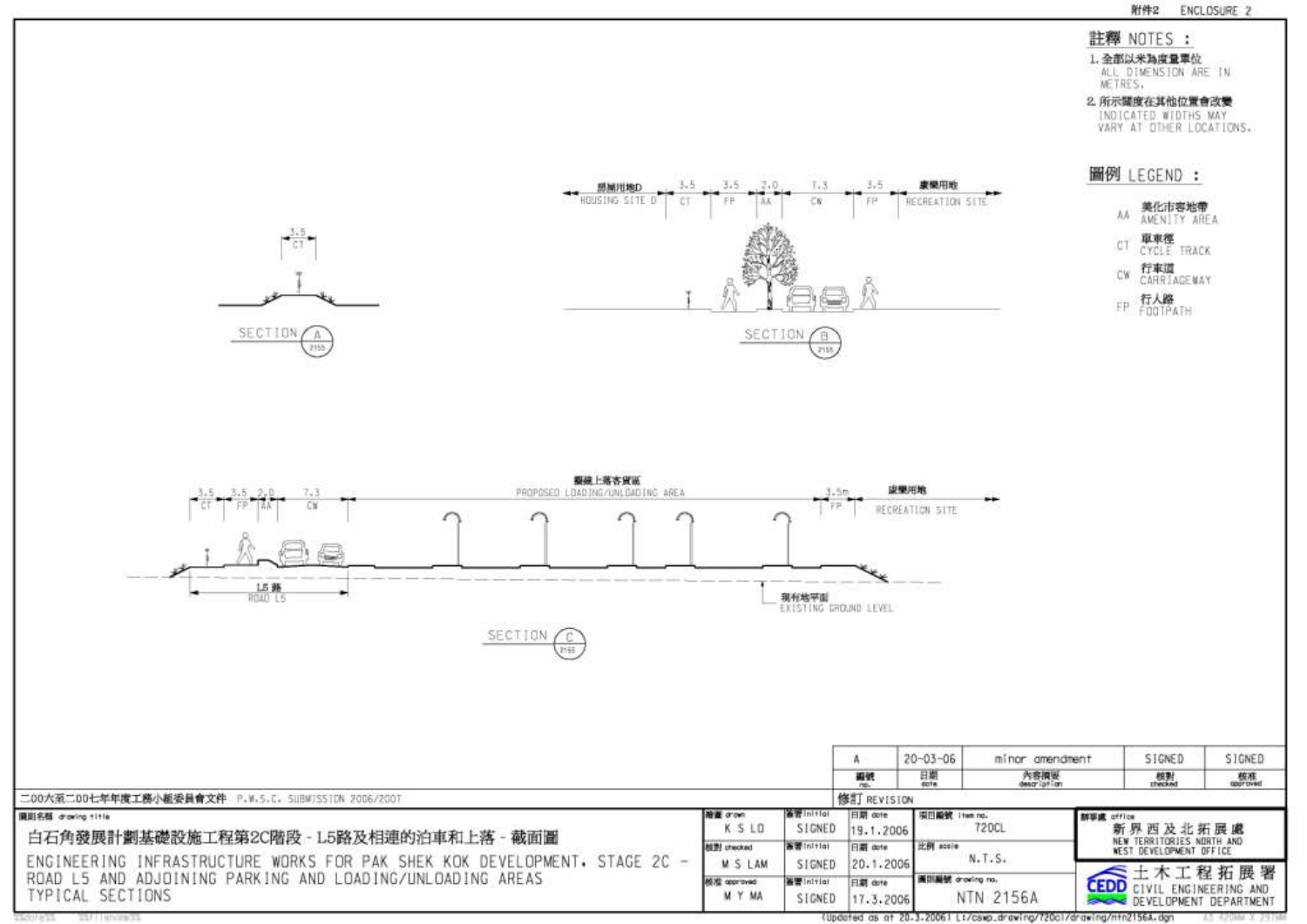#### 附件2 ENCLOSURE 2

#### 註釋 NOTES :

1. 全部以米為度量單位<br>ALL DIMENSION ARE IN<br>METRES,

2. 所示関度在其他位置會改變 INDICATED WIDTHS MAY VARY AT DIHER LOCATIONS.

#### 圖例 LEGEND :



FP 行人路<br>F00TPATH







|                                                                                                                                                                                                                             |                                |                           |                              | $20 - 03 - 06$      | minor amendment  |                        | SIGNED.                                                     | SIGNED                                               |  |
|-----------------------------------------------------------------------------------------------------------------------------------------------------------------------------------------------------------------------------|--------------------------------|---------------------------|------------------------------|---------------------|------------------|------------------------|-------------------------------------------------------------|------------------------------------------------------|--|
|                                                                                                                                                                                                                             |                                |                           | 鞭螨                           | 日期<br>cote          | 内容模块             | 模製<br>checked          |                                                             | <b>按准</b>                                            |  |
| 二00大至二00七年年度工務小組委員會文件 P.W.S.C. SUBWISSION 2006/2007                                                                                                                                                                         |                                |                           | 修訂 REVISION                  |                     |                  |                        |                                                             |                                                      |  |
| 護国名群 drawing title<br>白石角發展計劃基礎設施工程第2C階段 - L5路及相連的泊車和上落 - 截面圖<br>ENGINEERING INFRASTRUCTURE WORKS FOR PAK SHEK KOK DEVELOPMENT, STAGE 2C -<br>ROAD L5 AND ADJOINING PARKING AND LOADING/UNLOADING AREAS<br>TYPICAL SECTIONS | 溶量 drown<br>K S LD             | <b>BETTING!</b><br>SIGNED | 日期 dote<br>19.1.2006         | 图目殿號 11st no.       | 720CL            | 群事處 office<br>新界西及北拓展處 |                                                             |                                                      |  |
|                                                                                                                                                                                                                             | <b>N型 checked</b><br>M S LAM   | ● Winthini<br>SIGNED      | <b>I 图 dote</b><br>20.1.2006 | 比例 scole<br>N. T.S. |                  |                        | NEW TERRITORIES NORTH AND<br><b>NEST DEVELOPMENT OFFICE</b> |                                                      |  |
|                                                                                                                                                                                                                             | <b>NEXE opproved</b><br>M Y MA | ●图 Initial<br>SIGNED      | 日期 dote<br>17.3.2006         | T 面白細號 drawing no.  | <b>NTN 2156A</b> |                        |                                                             | CEDD CIVIL ENGINEERING AND<br>DEVELOPMENT DEPARTMENT |  |